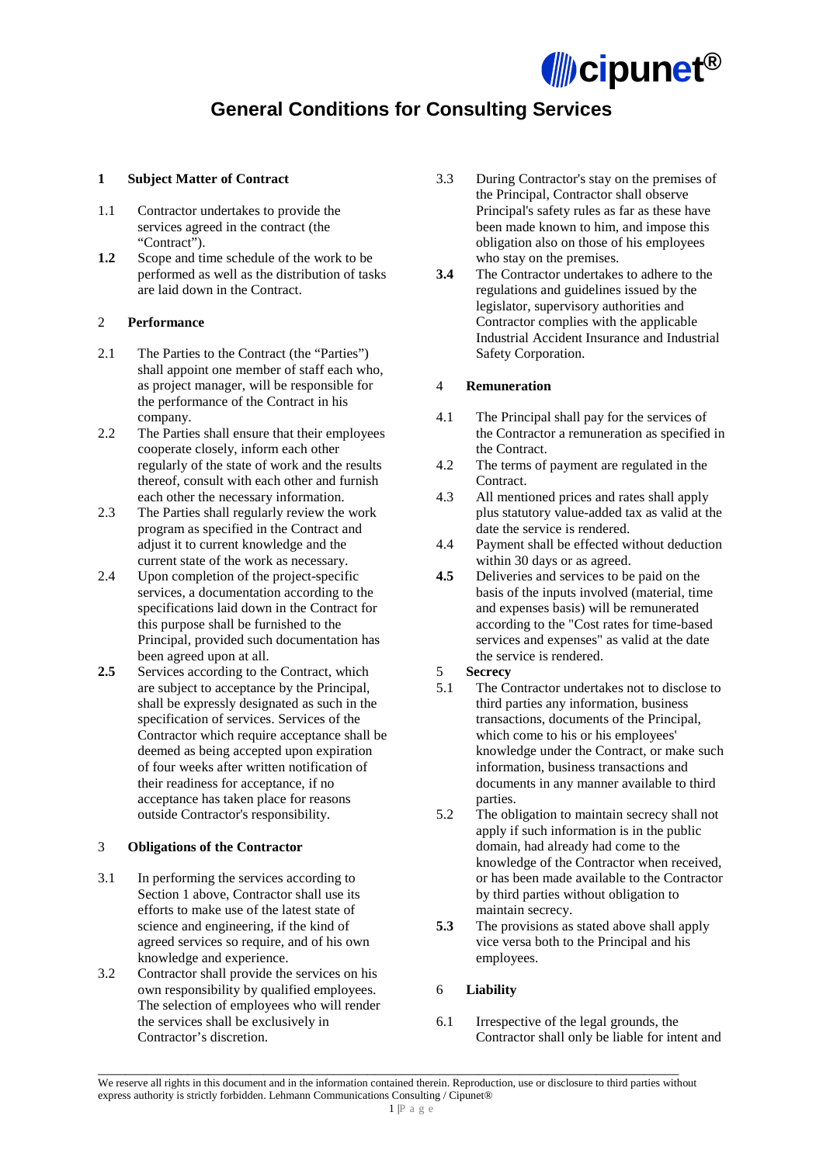

# **General Conditions for Consulting Services**

### **1 Subject Matter of Contract**

- 1.1 Contractor undertakes to provide the services agreed in the contract (the "Contract").
- **1.2** Scope and time schedule of the work to be performed as well as the distribution of tasks are laid down in the Contract.

## 2 **Performance**

- 2.1 The Parties to the Contract (the "Parties") shall appoint one member of staff each who, as project manager, will be responsible for the performance of the Contract in his company.
- 2.2 The Parties shall ensure that their employees cooperate closely, inform each other regularly of the state of work and the results thereof, consult with each other and furnish each other the necessary information.
- 2.3 The Parties shall regularly review the work program as specified in the Contract and adjust it to current knowledge and the current state of the work as necessary.
- 2.4 Upon completion of the project-specific services, a documentation according to the specifications laid down in the Contract for this purpose shall be furnished to the Principal, provided such documentation has been agreed upon at all.
- **2.5** Services according to the Contract, which are subject to acceptance by the Principal, shall be expressly designated as such in the specification of services. Services of the Contractor which require acceptance shall be deemed as being accepted upon expiration of four weeks after written notification of their readiness for acceptance, if no acceptance has taken place for reasons outside Contractor's responsibility.

#### 3 **Obligations of the Contractor**

- 3.1 In performing the services according to Section 1 above, Contractor shall use its efforts to make use of the latest state of science and engineering, if the kind of agreed services so require, and of his own knowledge and experience.
- 3.2 Contractor shall provide the services on his own responsibility by qualified employees. The selection of employees who will render the services shall be exclusively in Contractor's discretion.
- 3.3 During Contractor's stay on the premises of the Principal, Contractor shall observe Principal's safety rules as far as these have been made known to him, and impose this obligation also on those of his employees who stay on the premises.
- **3.4** The Contractor undertakes to adhere to the regulations and guidelines issued by the legislator, supervisory authorities and Contractor complies with the applicable Industrial Accident Insurance and Industrial Safety Corporation.

# 4 **Remuneration**

- 4.1 The Principal shall pay for the services of the Contractor a remuneration as specified in the Contract.
- 4.2 The terms of payment are regulated in the Contract.
- 4.3 All mentioned prices and rates shall apply plus statutory value-added tax as valid at the date the service is rendered.
- 4.4 Payment shall be effected without deduction within 30 days or as agreed.
- **4.5** Deliveries and services to be paid on the basis of the inputs involved (material, time and expenses basis) will be remunerated according to the "Cost rates for time-based services and expenses" as valid at the date the service is rendered.
- 5 **Secrecy**
- 5.1 The Contractor undertakes not to disclose to third parties any information, business transactions, documents of the Principal, which come to his or his employees' knowledge under the Contract, or make such information, business transactions and documents in any manner available to third parties.
- 5.2 The obligation to maintain secrecy shall not apply if such information is in the public domain, had already had come to the knowledge of the Contractor when received, or has been made available to the Contractor by third parties without obligation to maintain secrecy.
- **5.3** The provisions as stated above shall apply vice versa both to the Principal and his employees.

# 6 **Liability**

6.1 Irrespective of the legal grounds, the Contractor shall only be liable for intent and

\_\_\_\_\_\_\_\_\_\_\_\_\_\_\_\_\_\_\_\_\_\_\_\_\_\_\_\_\_\_\_\_\_\_\_\_\_\_\_\_\_\_\_\_\_\_\_\_\_\_\_\_\_\_\_\_\_\_\_\_\_\_\_\_\_\_\_\_\_\_\_\_\_\_\_\_\_\_\_\_\_\_\_\_ We reserve all rights in this document and in the information contained therein. Reproduction, use or disclosure to third parties without express authority is strictly forbidden. Lehmann Communications Consulting / Cipunet®